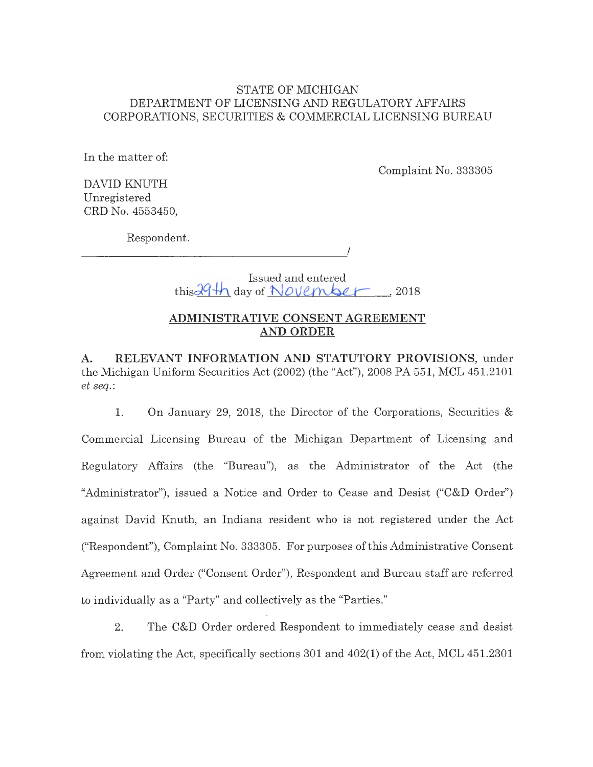## STATE OF MICHIGAN DEPARTMENT OF LICENSING AND REGULATORY AFFAIRS CORPORATIONS, SECURITIES & COMMERCIAL LICENSING BUREAU

In the matter of:

Complaint No. 333305

DAVID KNUTH Unregistered CRD No. 4553450,

Respondent.

I -------------

> Issued and entered  $this 29th$  day of **November**, 2018

## **ADMINISTRATIVE CONSENT AGREEMENT AND ORDER**

**A. RELEVANT INFORMATION AND STATUTORY PROVISIONS,** under the Michigan Uniform Securities Act (2002) (the "Act"), 2008 PA 551, MCL 451.2101 *et seq.:* 

1. On January 29, 2018, the Director of the Corporations, Securities & Commercial Licensing Bureau of the Michigan Department of Licensing and Regulatory Affairs (the "Bureau"), as the Administrator of the Act (the "Administrator"), issued a Notice and Order to Cease and Desist ("C&D Order") against David Knuth, an Indiana resident who is not registered under the Act ("Respondent"), Complaint No. 333305. For purposes of this Administrative Consent Agreement and Order ("Consent Order"), Respondent and Bureau staff are referred to individually as a "Party" and collectively as the "Parties."

2. The C&D Order ordered Respondent to immediately cease and desist from violating the Act, specifically sections 301 and 402(1) of the Act, MCL 451.2301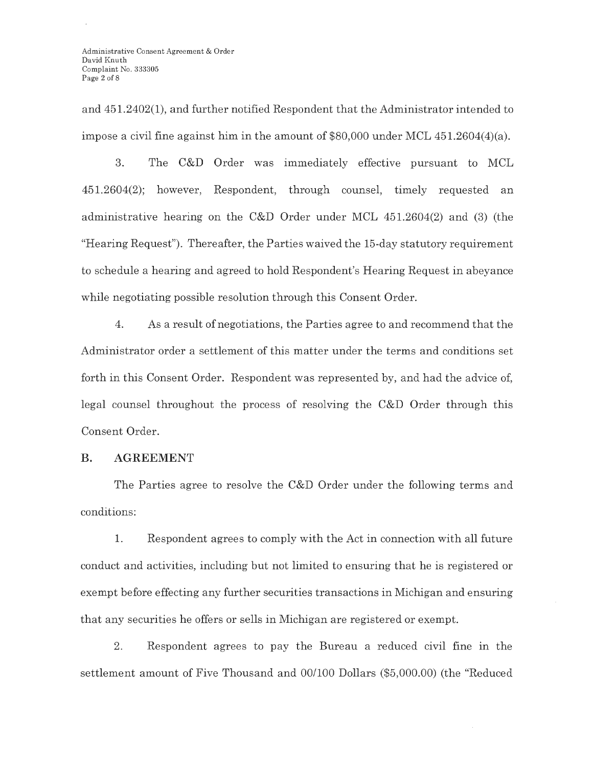and 451.2402(1), and further notified Respondent that the Administrator intended to impose a civil fine against him in the amount of \$80,000 under MCL 451.2604(4)(a).

3. The C&D Order was immediately effective pursuant to MCL 451.2604(2); however, Respondent, through counsel, timely requested an administrative hearing on the C&D Order under MCL 451.2604(2) and (3) (the "Hearing Request"). Thereafter, the Parties waived the 15-day statutory requirement to schedule a hearing and agreed to hold Respondent's Hearing Request in abeyance while negotiating possible resolution through this Consent Order.

4. As a result of negotiations, the Parties agree to and recommend that the Administrator order a settlement of this matter under the terms and conditions set forth in this Consent Order. Respondent was represented by, and had the advice of, legal counsel throughout the process of resolving the C&D Order through this Consent Order.

### **B. AGREEMENT**

The Parties agree to resolve the C&D Order under the following terms and conditions:

**1.** Respondent agrees to comply with the Act in connection with all future conduct and activities, including but not limited to ensuring that he is registered or exempt before effecting any further securities transactions in Michigan and ensuring that any securities he offers or sells in Michigan are registered or exempt.

2. Respondent agrees to pay the Bureau a reduced civil fine in the settlement amount of Five Thousand and 00/100 Dollars (\$5,000.00) (the "Reduced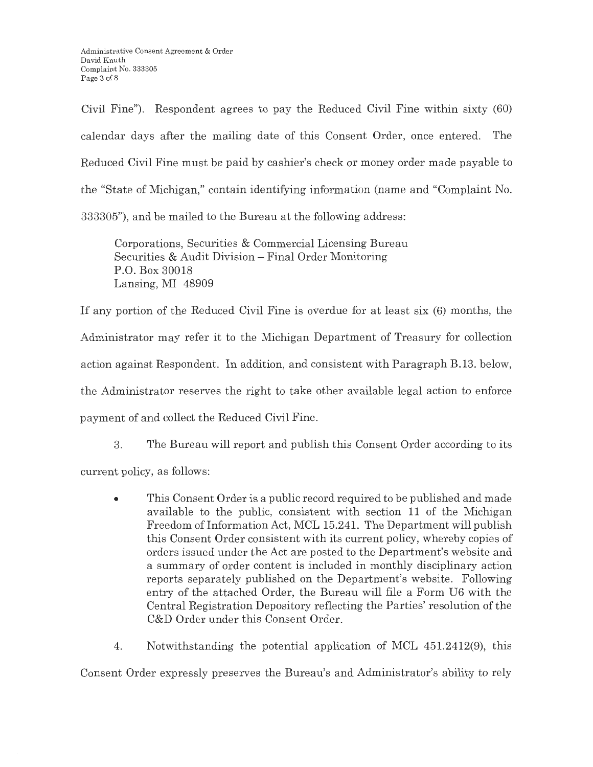Civil Fine"). Respondent agrees to pay the Reduced Civil Fine within sixty (60) calendar days after the mailing date of this Consent Order, once entered. The Reduced Civil Fine must be paid by cashier's check or money order made payable to the "State of Michigan," contain identifying information (name and "Complaint No. 333305"), and be mailed to the Bureau at the following address:

Corporations, Securities & Commercial Licensing Bureau Securities & Audit Division - Final Order Monitoring P.O. Box 30018 Lansing, MI 48909

If any portion of the Reduced Civil Fine is overdue for at least six (6) months, the Administrator may refer it to the Michigan Department of Treasury for collection action against Respondent. In addition, and consistent with Paragraph B.13. below, the Administrator reserves the right to take other available legal action to enforce payment of and collect the Reduced Civil Fine.

3. The Bureau will report and publish this Consent Order according to its current policy, as follows:

- This Consent Order is a public record required to be published and made available to the public, consistent with section 11 of the Michigan Freedom of Information Act, MCL 15.241. The Department will publish this Consent Order consistent with its current policy, whereby copies of orders issued under the Act are posted to the Department's website and a summary of order content is included in monthly disciplinary action reports separately published on the Department's website. Following entry of the attached Order, the Bureau will file a Form U6 with the Central Registration Depository reflecting the Parties' resolution of the C&D Order under this Consent Order.
- 4. Notwithstanding the potential application of MCL 451.2412(9), this

Consent Order expressly preserves the Bureau's and Administrator's ability to rely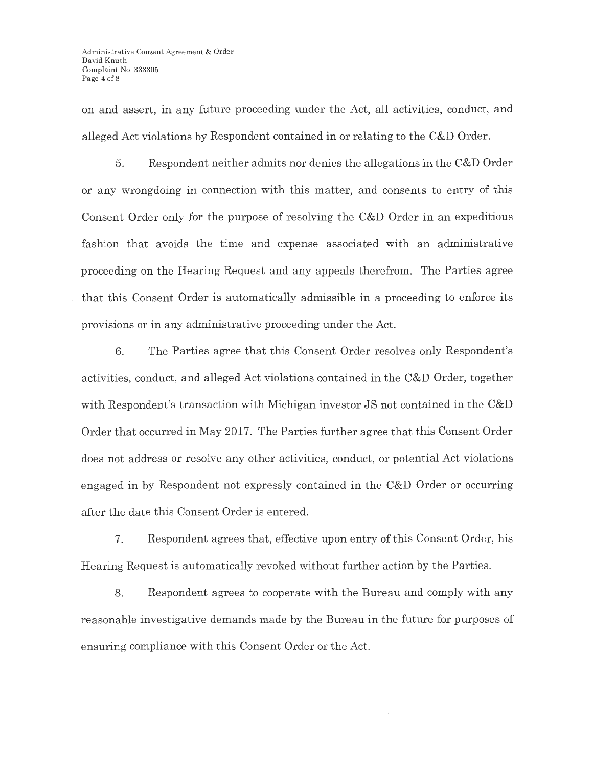on and assert, in any future proceeding under the Act, all activities, conduct, and alleged Act violations by Respondent contained in or relating to the C&D Order.

5. Respondent neither admits nor denies the allegations in the C&D Order or any wrongdoing in connection with this matter, and consents to entry of this Consent Order only for the purpose of resolving the C&D Order in an expeditious fashion that avoids the time and expense associated with an administrative proceeding on the Hearing Request and any appeals therefrom. The Parties agree that this Consent Order is automatically admissible in a proceeding to enforce its provisions or in any administrative proceeding under the Act.

6. The Parties agree that this Consent Order resolves only Respondent's activities, conduct, and alleged Act violations contained in the C&D Order, together with Respondent's transaction with Michigan investor JS not contained in the C&D Order that occurred in May 2017. The Parties further agree that this Consent Order does not address or resolve any other activities, conduct, or potential Act violations engaged in by Respondent not expressly contained in the C&D Order or occurring after the date this Consent Order is entered.

7. Respondent agrees that, effective upon entry of this Consent Order, his Hearing Request is automatically revoked without further action by the Parties.

8. Respondent agrees to cooperate with the Bureau and comply with any reasonable investigative demands made by the Bureau in the future for purposes of ensuring compliance with this Consent Order or the Act.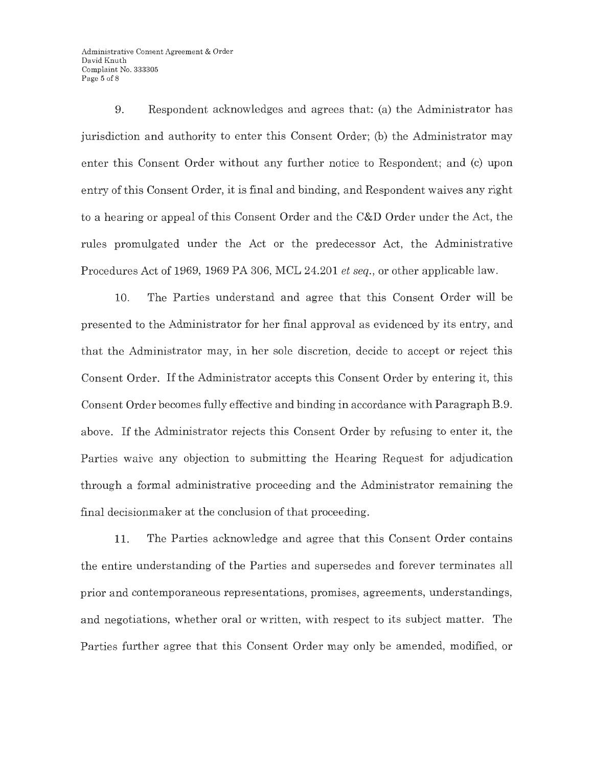9. Respondent acknowledges and agrees that: (a) the Administrator has jurisdiction and authority to enter this Consent Order; (b) the Administrator may enter this Consent Order without any further notice to Respondent; and (c) upon entry of this Consent Order, it is final and binding, and Respondent waives any right to a hearing or appeal of this Consent Order and the C&D Order under the Act, the rules promulgated under the Act or the predecessor Act, the Administrative Procedures Act of 1969, 1969 PA 306, MCL 24.201 *et seq.,* or other applicable law.

10. The Parties understand and agree that this Consent Order will be presented to the Administrator for her final approval as evidenced by its entry, and that the Administrator may, in her sole discretion, decide to accept or reject this Consent Order. If the Administrator accepts this Consent Order by entering it, this Consent Order becomes fully effective and binding in accordance with Paragraph B.9. above. If the Administrator rejects this Consent Order by refusing to enter it, the Parties waive any objection to submitting the Hearing Request for adjudication through a formal administrative proceeding and the Administrator remaining the final decisionmaker at the conclusion of that proceeding.

11. The Parties acknowledge and agree that this Consent Order contains the entire understanding of the Parties and supersedes and forever terminates all prior and contemporaneous representations, promises, agreements, understandings, and negotiations, whether oral or written, with respect to its subject matter. The Parties further agree that this Consent Order may only be amended, modified, or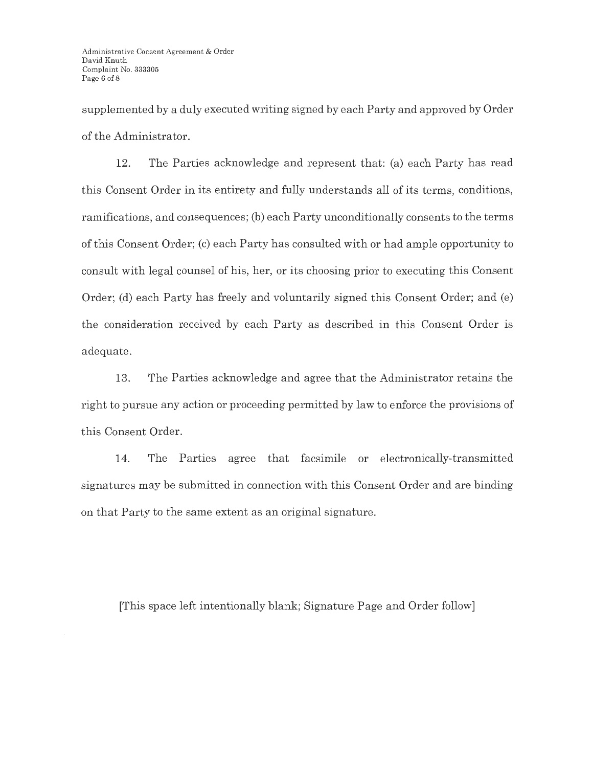supplemented by a duly executed writing signed by each Party and approved by Order of the Administrator.

12. The Parties acknowledge and represent that: (a) each Party has read this Consent Order in its entirety and fully understands all of its terms, conditions, ramifications, and consequences; (b) each Party unconditionally consents to the terms of this Consent Order; (c) each Party has consulted with or had ample opportunity to consult with legal counsel of his, her, or its choosing prior to executing this Consent Order; (d) each Party has freely and voluntarily signed this Consent Order; and (e) the consideration received by each Party as described in this Consent Order is adequate.

13. The Parties acknowledge and agree that the Administrator retains the right to pursue any action or proceeding permitted by law to enforce the provisions of this Consent Order.

14. The Parties agree that facsimile or electronically-transmitted signatures may be submitted in connection with this Consent Order and are binding on that Party to the same extent as an original signature.

[This space left intentionally blank; Signature Page and Order follow]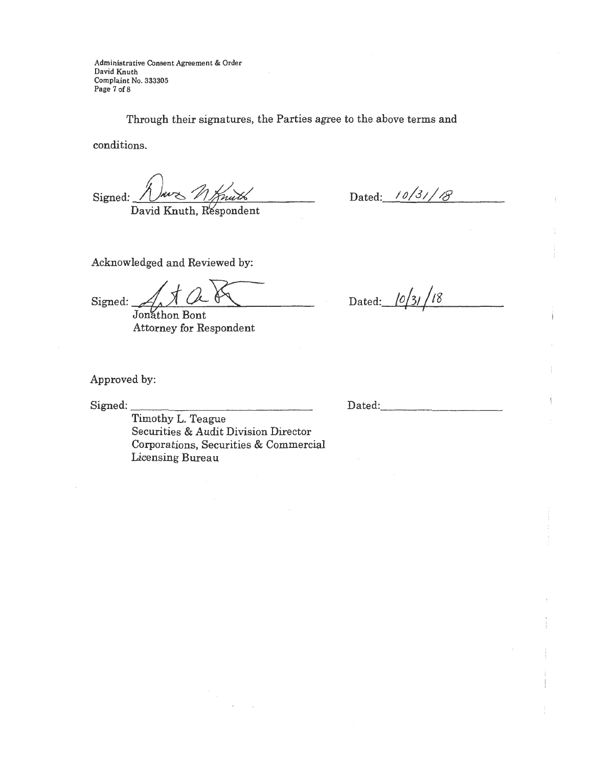Administrative Consent Agreement & Order David Knuth Complaint No. 333305 Page 7 of 8

Through their signatures, the Parties agree to the above terms and

conditions.

Signed:

David Knuth, Respondent

Dated: 10/31/18

Acknowledged and Reviewed by:

Signed:

Jonathon Bont Attorney for Respondent

Dated:  $\frac{10}{31}$ /18

Approved by:

Signed:

Timothy L. Teague Securities & Audit Division Director Corporations, Securities & Commercial Licensing Bureau

Dated: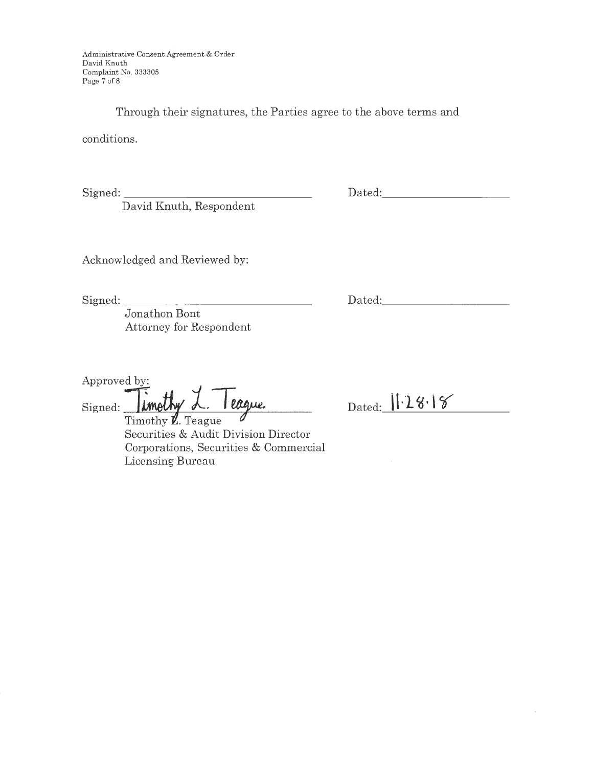Administrative Consent Agreement & Order David Knuth Complaint No. 333305 Page 7 of 8

Through their signatures, the Parties agree to the above terms and

conditions.

Signed: \_\_\_\_\_\_\_\_\_\_\_\_\_\_ \_

David Knuth, Respondent

Dated: \_\_\_\_\_\_\_\_\_ \_

Acknowledged and Reviewed by:

Signed: \_\_\_\_\_\_\_\_\_\_\_\_ \_ \_ \_

Dated:  $\Box$ 

Dated: 1.28.18

Jonathon Bont Attorney for Respondent

Approved by: . Signed: *imothy L. Teague.* 

Timothy  $\mathbf Z$ . Teague Securities & Audit Division Director Corporations, Securities & Commercial Licensing Bureau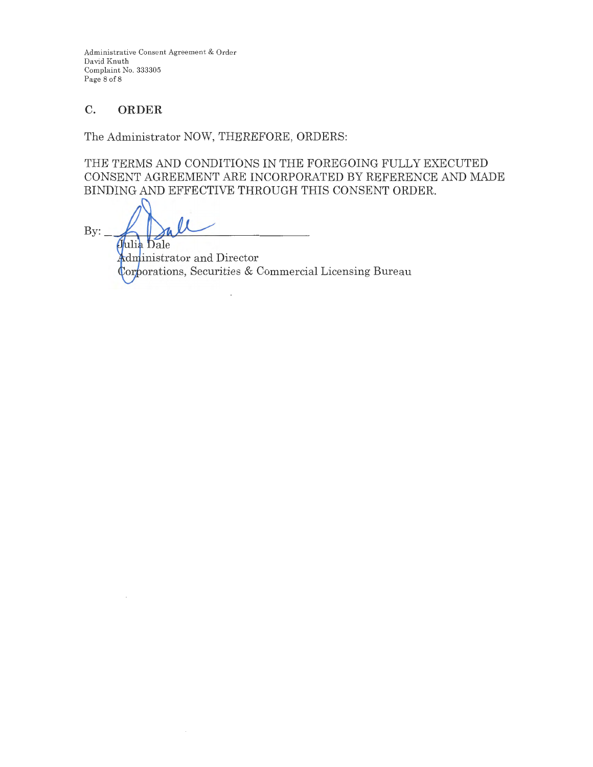Administrative Consent Agreement & Order David Knuth Complaint No. 333305 Page 8 of 8

# **C. ORDER**

The Administrator NOW, THEREFORE, ORDERS:

THE TERMS AND CONDITIONS IN THE FOREGOING FULLY EXECUTED CONSENT AGREEMENT ARE INCORPORATED BY REFERENCE AND MADE BINDING AND EFFECTIVE THROUGH THIS CONSENT ORDER.

 $By:$ Julia Dale

**Administrator** and Director Corporations, Securities & Commercial Licensing Bureau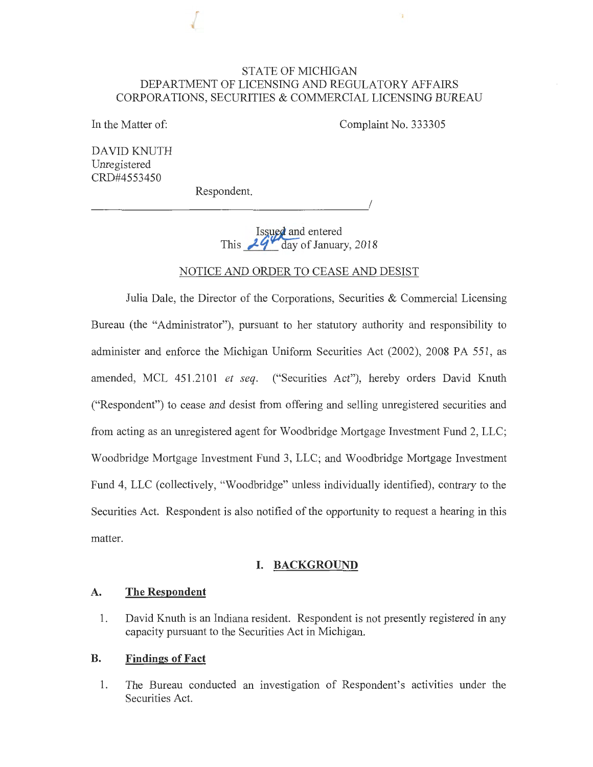## STATE OF MICHIGAN DEPARTMENT OF LICENSING AND REGULATORY AFFAIRS CORPORATIONS, SECURITIES & COMMERCIAL LICENSING BUREAU

In the Matter of:

Complaint No. 333305

DAVID KNUTH Unregistered CRD#4553450

Respondent.

*\_\_\_\_\_\_\_\_\_\_\_\_\_\_\_\_\_\_\_\_\_ !* 

Issued and entered This  $29 - \text{day of January}$ , 2018

#### NOTICE AND ORDER TO CEASE AND DESIST

Julia Dale, the Director of the Corporations, Securities & Commercial Licensing Bureau (the "Administrator"), pursuant to her statutory authority and responsibility to administer and enforce the Michigan Uniform Securities Act (2002), 2008 PA 551, as amended, MCL 451.2101 *et seq.* ("Securities Act"), hereby orders David Knuth ("Respondent") to cease and desist from offering and selling unregistered securities and from acting as an unregistered agent for Woodbridge Mortgage Investment Fund 2, LLC; Woodbridge Mortgage Investment Fund 3, LLC; and Woodbridge Mortgage Investment Fund 4, LLC (collectively, "Woodbridge" unless individually identified), contrary to the Securities Act. Respondent is also notified of the opportunity to request a hearing in this matter.

#### **I. BACKGROUND**

#### **A. The Respondent**

1. David Knuth is an Indiana resident. Respondent is not presently registered in any capacity pursuant to the Securities Act in Michigan.

#### **B. Findings of Fact**

1. The Bureau conducted an investigation of Respondent's activities under the Securities Act.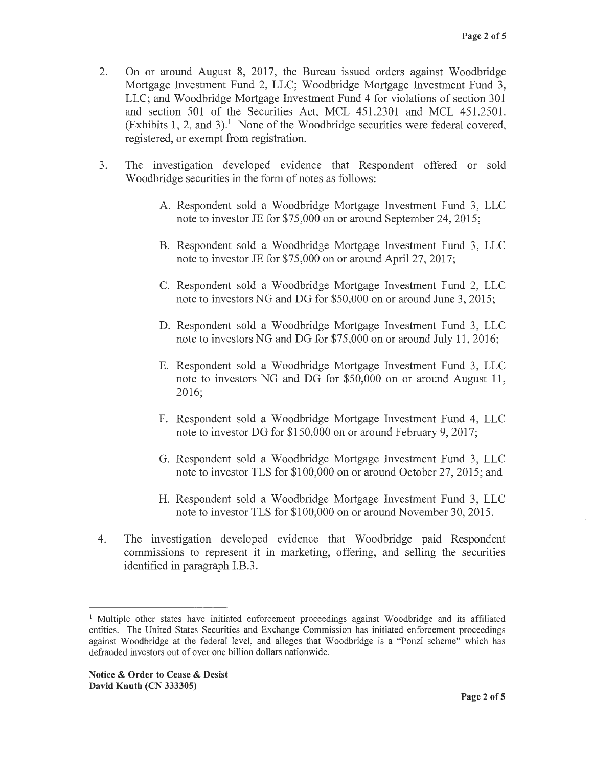- 2. On or around August 8, 2017, the Bureau issued orders against Woodbridge Mortgage Investment Fund 2, LLC; Woodbridge Mortgage Investment Fund 3, LLC; and Woodbridge Mortgage Investment Fund 4 for violations of section 301 and section 501 of the Securities Act, MCL 451.2301 and MCL 451.2501. (Exhibits 1, 2, and 3).<sup>1</sup> None of the Woodbridge securities were federal covered, registered, or exempt from registration.
- 3. The investigation developed evidence that Respondent offered or sold Woodbridge securities in the form of notes as follows:
	- A. Respondent sold a Woodbridge Mortgage Investment Fund 3, LLC note to investor JE for \$75,000 on or around September 24, 2015;
	- B. Respondent sold a Woodbridge Mortgage Investment Fund 3, LLC note to investor JE for \$75,000 on or around April 27, 2017;
	- C. Respondent sold a Woodbridge Mortgage Investment Fund 2, LLC note to investors NG and DG for \$50,000 on or around June 3, 2015;
	- D. Respondent sold a Woodbridge Mortgage Investment Fund 3, LLC note to investors NG and DG for \$75,000 on or around July 11, 2016;
	- E. Respondent sold a Woodbridge Mortgage Investment Fund 3, LLC note to investors NG and DG for \$50,000 on or around August 11, 2016;
	- F. Respondent sold a Woodbridge Mortgage Investment Fund 4, LLC note to investor DG for \$150,000 on or around February 9, 2017;
	- G. Respondent sold a Woodbridge Mortgage Investment Fund 3, LLC note to investor TLS for \$100,000 on or around October 27, 2015; and
	- H. Respondent sold a Woodbridge Mortgage Investment Fund 3, LLC note to investor TLS for \$100,000 on or around November 30, 2015.
- 4. The investigation developed evidence that Woodbridge paid Respondent commissions to represent it in marketing, offering, and selling the securities identified in paragraph I.B.3.

<sup>&</sup>lt;sup>1</sup> Multiple other states have initiated enforcement proceedings against Woodbridge and its affiliated entities. The United States Securities and Exchange Commission has initiated enforcement proceedings against Woodbridge at the federal level, and alleges that Woodbridge is a "Ponzi scheme" which has defrauded investors out of over one billion dollars nationwide.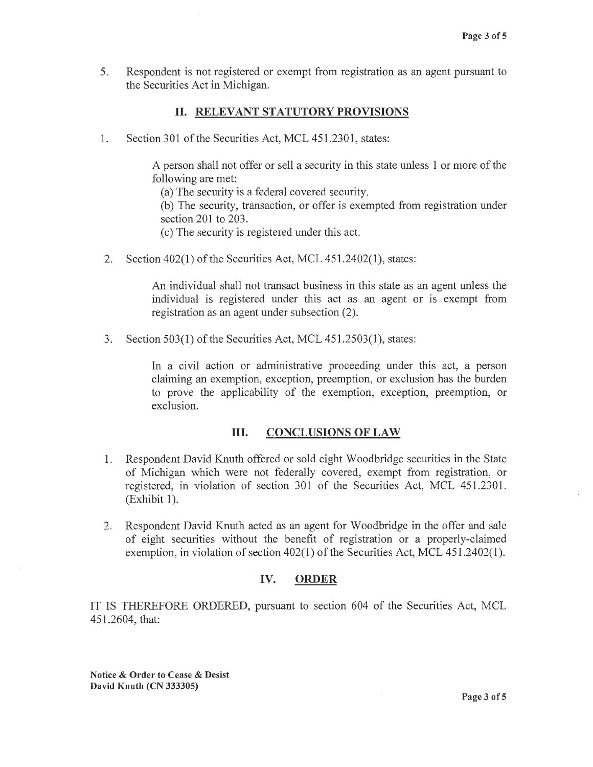5. Respondent is not registered or exempt from registration as an agent pursuant to the Securities Act in Michigan.

## II. **RELEVANT STATUTORY PROVISIONS**

1. Section 301 of the Securities Act, MCL 451.2301, states:

A person shall not offer or sell a security in this state unless 1 or more of the following are met:

(a) The security is a federal covered security.

(b) The security, transaction, or offer is exempted from registration under section 201 to 203.

( c) The security is registered under this act.

2. Section 402(1) of the Securities Act, MCL 451.2402(1), states:

An individual shall not transact business in this state as an agent unless the individual is registered under this act as an agent or is exempt from registration as an agent under subsection (2).

3. Section 503(1) of the Securities Act, MCL 451.2503(1), states:

In a civil action or administrative proceeding under this act, a person claiming an exemption, exception, preemption, or exclusion has the burden to prove the applicability of the exemption, exception, preemption, or exclusion.

#### III. **CONCLUSIONS OF LAW**

- 1. Respondent David Knuth offered or sold eight Woodbridge securities in the State of Michigan which were not federally covered, exempt from registration, or registered, in violation of section 301 of the Securities Act, MCL 451.2301.  $(Exhibit 1).$
- 2. Respondent David Knuth acted as an agent for Woodbridge in the offer and sale of eight securities without the benefit of registration or a properly-claimed exemption, in violation of section 402(1) of the Securities Act, MCL 451.2402(1).

## **IV. ORDER**

IT IS THEREFORE ORDERED, pursuant to section 604 of the Securities Act, MCL 451.2604, that:

**Notice** & **Order to Cease** & **Desist David Knuth (CN 333305)**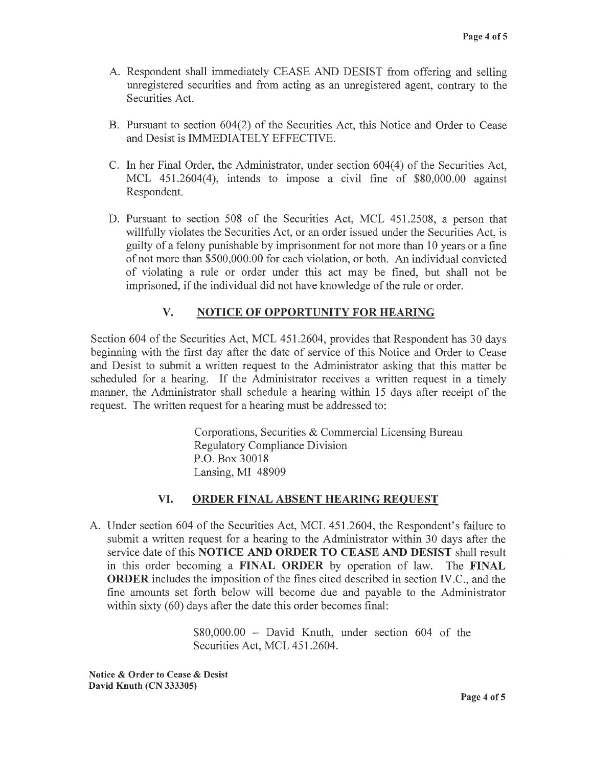- A. Respondent shall immediately CEASE AND DESIST from offering and selling unregistered securities and from acting as an unregistered agent, contrary to the Securities Act.
- B. Pursuant to section 604(2) of the Securities Act, this Notice and Order to Cease and Desist is IMMEDIATELY EFFECTIVE.
- C. In her Final Order, the Administrator, under section 604(4) of the Securities Act, MCL  $451.2604(4)$ , intends to impose a civil fine of \$80,000.00 against Respondent.
- D. Pursuant to section 508 of the Securities Act, MCL 451.2508, a person that willfully violates the Securities Act, or an order issued under the Securities Act, is guilty of a felony punishable by imprisonment for not more than 10 years or a fine of not more than \$500,000.00 for each violation, or both. An individual convicted of violating a rule or order under this act may be fined, but shall not be imprisoned, if the individual did not have knowledge of the rule or order.

# **V. NOTICE OF OPPORTUNITY FOR HEARING**

Section 604 of the Securities Act, MCL 451.2604, provides that Respondent has 30 days beginning with the first day after the date of service of this Notice and Order to Cease and Desist to submit a written request to the Administrator asking that this matter be scheduled for a hearing. If the Administrator receives a written request in a timely manner, the Administrator shall schedule a hearing within 15 days after receipt of the request. The written request for a hearing must be addressed to:

> Corporations, Securities & Commercial Licensing Bureau Regulatory Compliance Division P.O. Box 30018 Lansing, MI 48909

#### **VI. ORDER FINAL ABSENT HEARING REQUEST**

A. Under section 604 of the Securities Act, MCL 451.2604, the Respondent's failure to submit a written request for a hearing to the Administrator within 30 days after the service date of this **NOTICE AND ORDER TO CEASE AND DESIST** shall result in this order becoming a **FINAL ORDER** by operation of law. The **FINAL ORDER** includes the imposition of the fines cited described in section IV.C., and the fine amounts set forth below will become due and payable to the Administrator within sixty (60) days after the date this order becomes final:

> \$80,000.00 - David Knuth, under section 604 of the Securities Act, MCL 451.2604.

**Notice** & **Order to Cease** & **Desist David Knuth (CN 333305)**